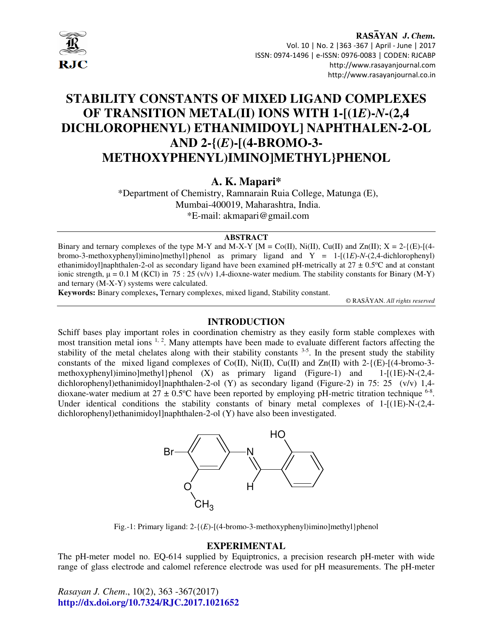

# **STABILITY CONSTANTS OF MIXED LIGAND COMPLEXES OF TRANSITION METAL(II) IONS WITH 1-[(1***E***)-***N***-(2,4 DICHLOROPHENYL) ETHANIMIDOYL] NAPHTHALEN-2-OL AND 2-{(***E***)-[(4-BROMO-3- METHOXYPHENYL)IMINO]METHYL}PHENOL**

# **A. K. Mapari\***

\*Department of Chemistry, Ramnarain Ruia College, Matunga (E), Mumbai-400019, Maharashtra, India. \*E-mail: akmapari@gmail.com

#### **ABSTRACT**

Binary and ternary complexes of the type M-Y and M-X-Y  $[M = Co(II), Ni(II), Cu(II))$  and  $Zn(II); X = 2-\{(E)-[(4-E)N(E)]\}$ bromo-3-methoxyphenyl)imino]methyl}phenol as primary ligand and Y = 1-[(1*E*)-*N*-(2,4-dichlorophenyl) ethanimidoyl]naphthalen-2-ol as secondary ligand have been examined pH-metrically at  $27 \pm 0.5^{\circ}$ C and at constant ionic strength,  $\mu = 0.1$  M (KCl) in 75 : 25 (v/v) 1,4-dioxne-water medium. The stability constants for Binary (M-Y) and ternary (M-X-Y) systems were calculated.

**Keywords:** Binary complexes**,** Ternary complexes, mixed ligand, Stability constant.

© RASĀYAN. *All rights reserved*

#### **INTRODUCTION**

Schiff bases play important roles in coordination chemistry as they easily form stable complexes with most transition metal ions <sup>1, 2</sup>. Many attempts have been made to evaluate different factors affecting the stability of the metal chelates along with their stability constants <sup>3-5</sup>. In the present study the stability constants of the mixed ligand complexes of  $Co(II)$ ,  $Ni(II)$ ,  $Cu(II)$  and  $Zn(II)$  with 2-{ $(E)$ - $[(4-bromo-3-d)$ methoxyphenyl)imino]methyl}phenol  $(X)$  as primary ligand (Figure-1) and 1- $[(1E)-N-(2,4-1)]$ dichlorophenyl)ethanimidoyl]naphthalen-2-ol (Y) as secondary ligand (Figure-2) in 75: 25 (v/v) 1,4dioxane-water medium at  $27 \pm 0.5$ °C have been reported by employing pH-metric titration technique <sup>6-8</sup>. Under identical conditions the stability constants of binary metal complexes of  $1-[1E)-N-(2,4-1]$ dichlorophenyl)ethanimidoyl]naphthalen-2-ol (Y) have also been investigated.



Fig.-1: Primary ligand: 2-{(*E*)-[(4-bromo-3-methoxyphenyl)imino]methyl}phenol

#### **EXPERIMENTAL**

The pH-meter model no. EQ-614 supplied by Equiptronics, a precision research pH-meter with wide range of glass electrode and calomel reference electrode was used for pH measurements. The pH-meter

*Rasayan J. Chem*., 10(2), 363 -367(2017) **http://dx.doi.org/10.7324/RJC.2017.1021652**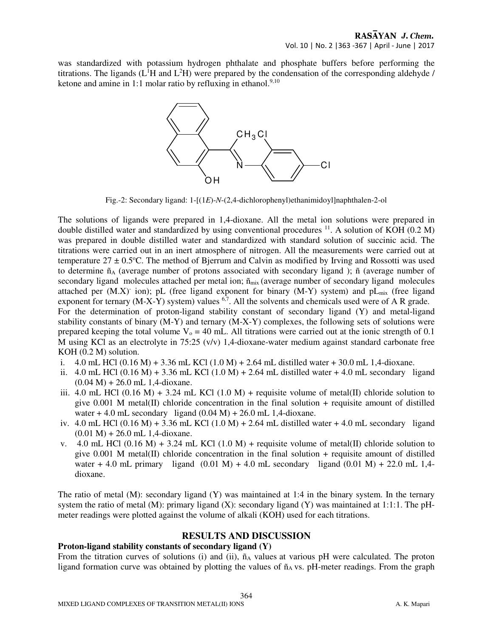was standardized with potassium hydrogen phthalate and phosphate buffers before performing the titrations. The ligands  $(L<sup>1</sup>H$  and  $L<sup>2</sup>H)$  were prepared by the condensation of the corresponding aldehyde / ketone and amine in 1:1 molar ratio by refluxing in ethanol. $9,10$ 



Fig.-2: Secondary ligand: 1-[(1*E*)-*N*-(2,4-dichlorophenyl)ethanimidoyl]naphthalen-2-ol

The solutions of ligands were prepared in 1,4-dioxane. All the metal ion solutions were prepared in double distilled water and standardized by using conventional procedures <sup>11</sup>. A solution of KOH (0.2 M) was prepared in double distilled water and standardized with standard solution of succinic acid. The titrations were carried out in an inert atmosphere of nitrogen. All the measurements were carried out at temperature  $27 \pm 0.5$ °C. The method of Bjerrum and Calvin as modified by Irving and Rossotti was used to determine  $\tilde{n}_A$  (average number of protons associated with secondary ligand);  $\tilde{n}$  (average number of secondary ligand molecules attached per metal ion;  $\tilde{n}_{mix}$  (average number of secondary ligand molecules attached per  $(M.X)$  ion); pL (free ligand exponent for binary  $(M-Y)$  system) and pL<sub>mix</sub> (free ligand exponent for ternary  $(M-X-Y)$  system) values  $6.7$ . All the solvents and chemicals used were of A R grade. For the determination of proton-ligand stability constant of secondary ligand (Y) and metal-ligand stability constants of binary (M-Y) and ternary (M-X-Y) complexes, the following sets of solutions were prepared keeping the total volume  $V_0 = 40$  mL. All titrations were carried out at the ionic strength of 0.1 M using KCl as an electrolyte in 75:25 (v/y) 1,4-dioxane-water medium against standard carbonate free KOH (0.2 M) solution.

- i.  $4.0$  mL HCl (0.16 M) + 3.36 mL KCl (1.0 M) + 2.64 mL distilled water + 30.0 mL 1,4-dioxane.
- ii.  $4.0$  mL HCl (0.16 M) + 3.36 mL KCl (1.0 M) + 2.64 mL distilled water + 4.0 mL secondary ligand  $(0.04 \text{ M}) + 26.0 \text{ mL} 1,4$ -dioxane.
- iii. 4.0 mL HCl  $(0.16 \text{ M}) + 3.24 \text{ mL}$  KCl  $(1.0 \text{ M}) +$  requisite volume of metal(II) chloride solution to give  $0.001$  M metal(II) chloride concentration in the final solution + requisite amount of distilled water  $+4.0$  mL secondary ligand  $(0.04 \text{ M}) + 26.0 \text{ mL}$  1,4-dioxane.
- iv.  $4.0$  mL HCl  $(0.16 \text{ M}) + 3.36$  mL KCl  $(1.0 \text{ M}) + 2.64$  mL distilled water  $+ 4.0$  mL secondary ligand  $(0.01 \text{ M}) + 26.0 \text{ mL} 1,4$ -dioxane.
- v. 4.0 mL HCl (0.16 M) + 3.24 mL KCl (1.0 M) + requisite volume of metal(II) chloride solution to give  $0.001$  M metal(II) chloride concentration in the final solution + requisite amount of distilled water + 4.0 mL primary ligand  $(0.01 \text{ M}) + 4.0 \text{ mL}$  secondary ligand  $(0.01 \text{ M}) + 22.0 \text{ mL}$  1,4dioxane.

The ratio of metal (M): secondary ligand (Y) was maintained at 1:4 in the binary system. In the ternary system the ratio of metal (M): primary ligand (X): secondary ligand (Y) was maintained at 1:1:1. The pHmeter readings were plotted against the volume of alkali (KOH) used for each titrations.

## **RESULTS AND DISCUSSION**

#### **Proton-ligand stability constants of secondary ligand (Y)**

From the titration curves of solutions (i) and (ii),  $\tilde{n}_A$  values at various pH were calculated. The proton ligand formation curve was obtained by plotting the values of  $\tilde{n}_A$  vs. pH-meter readings. From the graph

364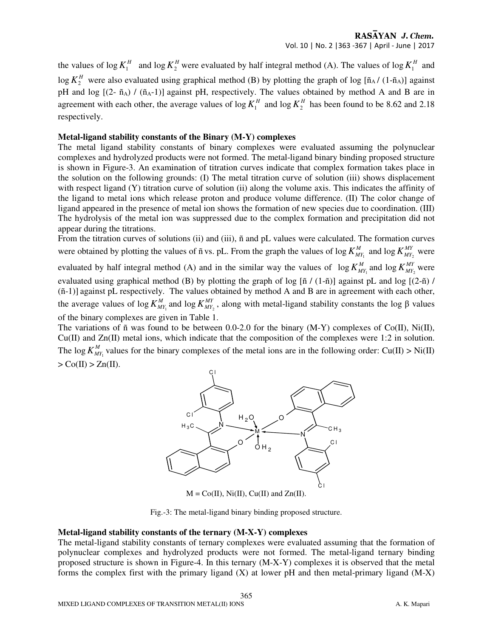the values of log  $K_1^H$  and log  $K_2^H$  were evaluated by half integral method (A). The values of log  $K_1^H$  and  $\log K_2^H$  were also evaluated using graphical method (B) by plotting the graph of log [ $\tilde{n}_A$ / $(1-\tilde{n}_A)$ ] against pH and log  $[(2-\tilde{n}_A)/(\tilde{n}_A-1)]$  against pH, respectively. The values obtained by method A and B are in agreement with each other, the average values of  $\log K_1^H$  and  $\log K_2^H$  has been found to be 8.62 and 2.18 respectively.

#### **Metal-ligand stability constants of the Binary (M-Y) complexes**

The metal ligand stability constants of binary complexes were evaluated assuming the polynuclear complexes and hydrolyzed products were not formed. The metal-ligand binary binding proposed structure is shown in Figure-3. An examination of titration curves indicate that complex formation takes place in the solution on the following grounds: (I) The metal titration curve of solution (iii) shows displacement with respect ligand (Y) titration curve of solution (ii) along the volume axis. This indicates the affinity of the ligand to metal ions which release proton and produce volume difference. (II) The color change of ligand appeared in the presence of metal ion shows the formation of new species due to coordination. (III) The hydrolysis of the metal ion was suppressed due to the complex formation and precipitation did not appear during the titrations.

From the titration curves of solutions (ii) and (iii), ñ and pL values were calculated. The formation curves were obtained by plotting the values of ñ vs. pL. From the graph the values of log  $K_{MY_1}^M$  and log  $K_{MY_2}^{MY}$  were

evaluated by half integral method (A) and in the similar way the values of  $\log K_{M1}^{M}$  and  $\log K_{M12}^{M}$  were evaluated using graphical method (B) by plotting the graph of log  $[\tilde{n}/(1-\tilde{n})]$  against pL and log  $[(2-\tilde{n})/$ (ñ-1)] against pL respectively. The values obtained by method A and B are in agreement with each other, the average values of log  $K_{MY_1}^M$  and log  $K_{MY_2}^M$ , along with metal-ligand stability constants the log  $\beta$  values of the binary complexes are given in Table 1.

The variations of ñ was found to be between 0.0-2.0 for the binary (M-Y) complexes of Co(II), Ni(II), Cu(II) and Zn(II) metal ions, which indicate that the composition of the complexes were 1:2 in solution. The log  $K_{MY_1}^M$  values for the binary complexes of the metal ions are in the following order: Cu(II) > Ni(II)  $>$  Co(II)  $>$  Zn(II).



 $M = Co(II), Ni(II), Cu(II)$  and  $Zn(II)$ .

Fig.-3: The metal-ligand binary binding proposed structure.

#### **Metal-ligand stability constants of the ternary (M-X-Y) complexes**

The metal-ligand stability constants of ternary complexes were evaluated assuming that the formation of polynuclear complexes and hydrolyzed products were not formed. The metal-ligand ternary binding proposed structure is shown in Figure-4. In this ternary (M-X-Y) complexes it is observed that the metal forms the complex first with the primary ligand  $(X)$  at lower pH and then metal-primary ligand  $(M-X)$ 

365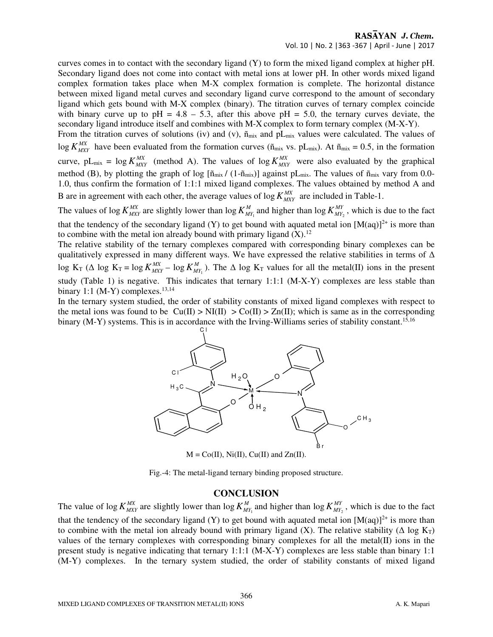curves comes in to contact with the secondary ligand (Y) to form the mixed ligand complex at higher pH. Secondary ligand does not come into contact with metal ions at lower pH. In other words mixed ligand complex formation takes place when M-X complex formation is complete. The horizontal distance between mixed ligand metal curves and secondary ligand curve correspond to the amount of secondary ligand which gets bound with M-X complex (binary). The titration curves of ternary complex coincide with binary curve up to  $pH = 4.8 - 5.3$ , after this above  $pH = 5.0$ , the ternary curves deviate, the secondary ligand introduce itself and combines with M-X complex to form ternary complex (M-X-Y).

From the titration curves of solutions (iv) and (v),  $\tilde{n}_{mix}$  and pL<sub>mix</sub> values were calculated. The values of  $\log K_{MXY}^{MX}$  have been evaluated from the formation curves ( $\tilde{n}_{mix}$  vs. pL<sub>mix</sub>). At  $\tilde{n}_{mix} = 0.5$ , in the formation curve,  $pL_{mix} = \log K_{MXY}^{MX}$  (method A). The values of  $\log K_{MXY}^{MX}$  were also evaluated by the graphical method (B), by plotting the graph of log  $[\tilde{n}_{mix}/(1-\tilde{n}_{mix})]$  against pL<sub>mix</sub>. The values of  $\tilde{n}_{mix}$  vary from 0.0-1.0, thus confirm the formation of 1:1:1 mixed ligand complexes. The values obtained by method A and B are in agreement with each other, the average values of  $\log K_{MXY}^{MX}$  are included in Table-1.

The values of log  $K_{MXY}^{MX}$  are slightly lower than log  $K_{MY_1}^M$  and higher than log  $K_{MY_2}^{MY}$ , which is due to the fact that the tendency of the secondary ligand (Y) to get bound with aquated metal ion  $[M(aq)]^{2+}$  is more than to combine with the metal ion already bound with primary ligand  $(X)$ .<sup>12</sup>

The relative stability of the ternary complexes compared with corresponding binary complexes can be qualitatively expressed in many different ways. We have expressed the relative stabilities in terms of ∆ log  $K_T$  ( $\Delta$  log  $K_T = \log K_{MXY}^{MX} - \log K_{MY_1}^M$ ). The  $\Delta$  log  $K_T$  values for all the metal(II) ions in the present study (Table 1) is negative. This indicates that ternary 1:1:1 (M-X-Y) complexes are less stable than binary 1:1 (M-Y) complexes. $13,14$ 

In the ternary system studied, the order of stability constants of mixed ligand complexes with respect to the metal ions was found to be  $\text{Cu(II)} > \text{Ni(II)} > \text{Co(II)} > \text{Zn(II)}$ ; which is same as in the corresponding binary (M-Y) systems. This is in accordance with the Irving-Williams series of stability constant.<sup>15,16</sup>



 $M = Co(II), Ni(II), Cu(II)$  and  $Zn(II)$ .

Fig.-4: The metal-ligand ternary binding proposed structure.

# **CONCLUSION**

The value of log  $K_{MXY}^{MX}$  are slightly lower than log  $K_{MY_1}^M$  and higher than log  $K_{MY_2}^{MY}$ , which is due to the fact that the tendency of the secondary ligand (Y) to get bound with aquated metal ion  $[M(aq)]^{2+}$  is more than to combine with the metal ion already bound with primary ligand (X). The relative stability ( $\Delta \log K_T$ ) values of the ternary complexes with corresponding binary complexes for all the metal(II) ions in the present study is negative indicating that ternary 1:1:1 (M-X-Y) complexes are less stable than binary 1:1 (M-Y) complexes. In the ternary system studied, the order of stability constants of mixed ligand